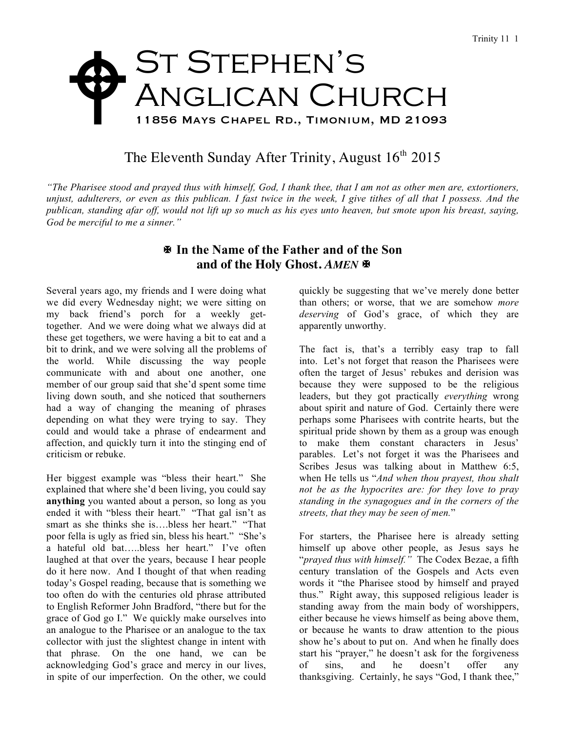## ST STEPHEN'S Anglican Church 11856 Mays Chapel Rd., Timonium, MD 21093  $\blacklozenge$

## The Eleventh Sunday After Trinity, August  $16<sup>th</sup> 2015$

*"The Pharisee stood and prayed thus with himself, God, I thank thee, that I am not as other men are, extortioners, unjust, adulterers, or even as this publican. I fast twice in the week, I give tithes of all that I possess. And the publican, standing afar off, would not lift up so much as his eyes unto heaven, but smote upon his breast, saying, God be merciful to me a sinner."*

## X **In the Name of the Father and of the Son** and of the Holy Ghost. AMEN  $\blacktriangleright$

Several years ago, my friends and I were doing what we did every Wednesday night; we were sitting on my back friend's porch for a weekly gettogether. And we were doing what we always did at these get togethers, we were having a bit to eat and a bit to drink, and we were solving all the problems of the world. While discussing the way people communicate with and about one another, one member of our group said that she'd spent some time living down south, and she noticed that southerners had a way of changing the meaning of phrases depending on what they were trying to say. They could and would take a phrase of endearment and affection, and quickly turn it into the stinging end of criticism or rebuke.

Her biggest example was "bless their heart." She explained that where she'd been living, you could say **anything** you wanted about a person, so long as you ended it with "bless their heart." "That gal isn't as smart as she thinks she is….bless her heart." "That poor fella is ugly as fried sin, bless his heart." "She's a hateful old bat…..bless her heart." I've often laughed at that over the years, because I hear people do it here now. And I thought of that when reading today's Gospel reading, because that is something we too often do with the centuries old phrase attributed to English Reformer John Bradford, "there but for the grace of God go I." We quickly make ourselves into an analogue to the Pharisee or an analogue to the tax collector with just the slightest change in intent with that phrase. On the one hand, we can be acknowledging God's grace and mercy in our lives, in spite of our imperfection. On the other, we could

quickly be suggesting that we've merely done better than others; or worse, that we are somehow *more deserving* of God's grace, of which they are apparently unworthy.

The fact is, that's a terribly easy trap to fall into. Let's not forget that reason the Pharisees were often the target of Jesus' rebukes and derision was because they were supposed to be the religious leaders, but they got practically *everything* wrong about spirit and nature of God. Certainly there were perhaps some Pharisees with contrite hearts, but the spiritual pride shown by them as a group was enough to make them constant characters in Jesus' parables. Let's not forget it was the Pharisees and Scribes Jesus was talking about in Matthew 6:5, when He tells us "*And when thou prayest, thou shalt not be as the hypocrites are: for they love to pray standing in the synagogues and in the corners of the streets, that they may be seen of men.*"

For starters, the Pharisee here is already setting himself up above other people, as Jesus says he "*prayed thus with himself."* The Codex Bezae, a fifth century translation of the Gospels and Acts even words it "the Pharisee stood by himself and prayed thus." Right away, this supposed religious leader is standing away from the main body of worshippers, either because he views himself as being above them, or because he wants to draw attention to the pious show he's about to put on. And when he finally does start his "prayer," he doesn't ask for the forgiveness of sins, and he doesn't offer any thanksgiving. Certainly, he says "God, I thank thee,"